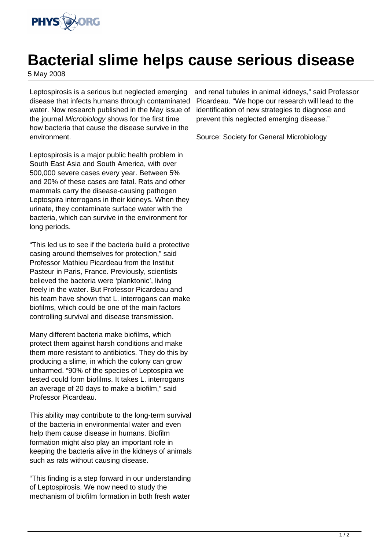

## **Bacterial slime helps cause serious disease**

5 May 2008

Leptospirosis is a serious but neglected emerging disease that infects humans through contaminated water. Now research published in the May issue of the journal Microbiology shows for the first time how bacteria that cause the disease survive in the environment.

Leptospirosis is a major public health problem in South East Asia and South America, with over 500,000 severe cases every year. Between 5% and 20% of these cases are fatal. Rats and other mammals carry the disease-causing pathogen Leptospira interrogans in their kidneys. When they urinate, they contaminate surface water with the bacteria, which can survive in the environment for long periods.

"This led us to see if the bacteria build a protective casing around themselves for protection," said Professor Mathieu Picardeau from the Institut Pasteur in Paris, France. Previously, scientists believed the bacteria were 'planktonic', living freely in the water. But Professor Picardeau and his team have shown that L. interrogans can make biofilms, which could be one of the main factors controlling survival and disease transmission.

Many different bacteria make biofilms, which protect them against harsh conditions and make them more resistant to antibiotics. They do this by producing a slime, in which the colony can grow unharmed. "90% of the species of Leptospira we tested could form biofilms. It takes L. interrogans an average of 20 days to make a biofilm," said Professor Picardeau.

This ability may contribute to the long-term survival of the bacteria in environmental water and even help them cause disease in humans. Biofilm formation might also play an important role in keeping the bacteria alive in the kidneys of animals such as rats without causing disease.

"This finding is a step forward in our understanding of Leptospirosis. We now need to study the mechanism of biofilm formation in both fresh water

and renal tubules in animal kidneys," said Professor Picardeau. "We hope our research will lead to the identification of new strategies to diagnose and prevent this neglected emerging disease."

Source: Society for General Microbiology